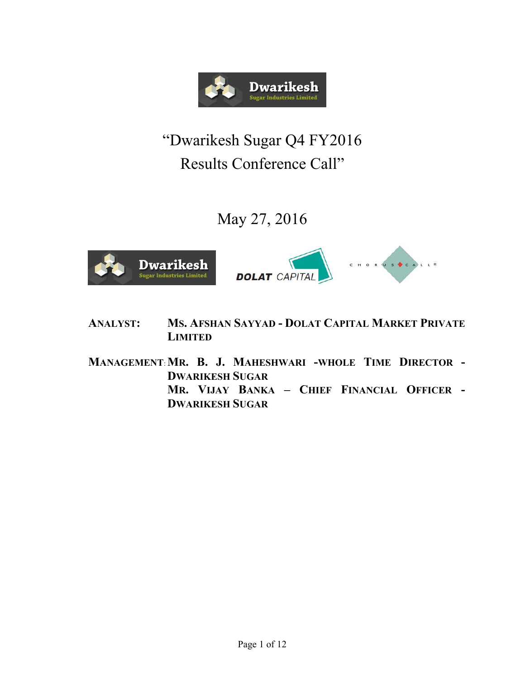

# "Dwarikesh Sugar Q4 FY2016 Results Conference Call"

May 27, 2016



**ANALYST: MS. AFSHAN SAYYAD - DOLAT CAPITAL MARKET PRIVATE LIMITED**

**MANAGEMENT**: **MR. B. J. MAHESHWARI -WHOLE TIME DIRECTOR - DWARIKESH SUGAR MR. VIJAY BANKA – CHIEF FINANCIAL OFFICER - DWARIKESH SUGAR**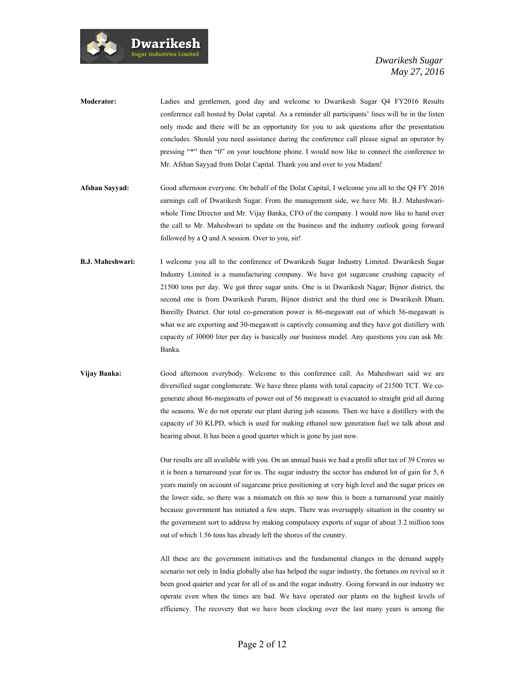

| <b>Moderator:</b> | Ladies and gentlemen, good day and welcome to Dwarikesh Sugar Q4 FY2016 Results                      |
|-------------------|------------------------------------------------------------------------------------------------------|
|                   | conference call hosted by Dolat capital. As a reminder all participants' lines will be in the listen |
|                   | only mode and there will be an opportunity for you to ask questions after the presentation           |
|                   | concludes. Should you need assistance during the conference call please signal an operator by        |
|                   | pressing "*" then "0" on your touchtone phone. I would now like to connect the conference to         |
|                   | Mr. Afshan Sayyad from Dolat Capital. Thank you and over to you Madam!                               |

- **Afshan Sayyad:** Good afternoon everyone. On behalf of the Dolat Capital, I welcome you all to the Q4 FY 2016 earnings call of Dwarikesh Sugar. From the management side, we have Mr. B.J. Maheshwariwhole Time Director and Mr. Vijay Banka, CFO of the company. I would now like to hand over the call to Mr. Maheshwari to update on the business and the industry outlook going forward followed by a Q and A session. Over to you, sir!
- **B.J. Maheshwari:** I welcome you all to the conference of Dwarikesh Sugar Industry Limited. Dwarikesh Sugar Industry Limited is a manufacturing company. We have got sugarcane crushing capacity of 21500 tons per day. We got three sugar units. One is in Dwarikesh Nagar; Bijnor district, the second one is from Dwarikesh Puram, Bijnor district and the third one is Dwarikesh Dham, Bareilly District. Our total co-generation power is 86-megawatt out of which 56-megawatt is what we are exporting and 30-megawatt is captively consuming and they have got distillery with capacity of 30000 liter per day is basically our business model. Any questions you can ask Mr. Banka.
- **Vijay Banka:** Good afternoon everybody. Welcome to this conference call. As Maheshwari said we are diversified sugar conglomerate. We have three plants with total capacity of 21500 TCT. We cogenerate about 86-megawatts of power out of 56 megawatt is evacuated to straight grid all during the seasons. We do not operate our plant during job seasons. Then we have a distillery with the capacity of 30 KLPD, which is used for making ethanol new generation fuel we talk about and hearing about. It has been a good quarter which is gone by just now.

Our results are all available with you. On an annual basis we had a profit after tax of 39 Crores so it is been a turnaround year for us. The sugar industry the sector has endured lot of gain for 5, 6 years mainly on account of sugarcane price positioning at very high level and the sugar prices on the lower side, so there was a mismatch on this so now this is been a turnaround year mainly because government has initiated a few steps. There was oversupply situation in the country so the government sort to address by making compulsory exports of sugar of about 3.2 million tons out of which 1.56 tons has already left the shores of the country.

All these are the government initiatives and the fundamental changes in the demand supply scenario not only in India globally also has helped the sugar industry, the fortunes on revival so it been good quarter and year for all of us and the sugar industry. Going forward in our industry we operate even when the times are bad. We have operated our plants on the highest levels of efficiency. The recovery that we have been clocking over the last many years is among the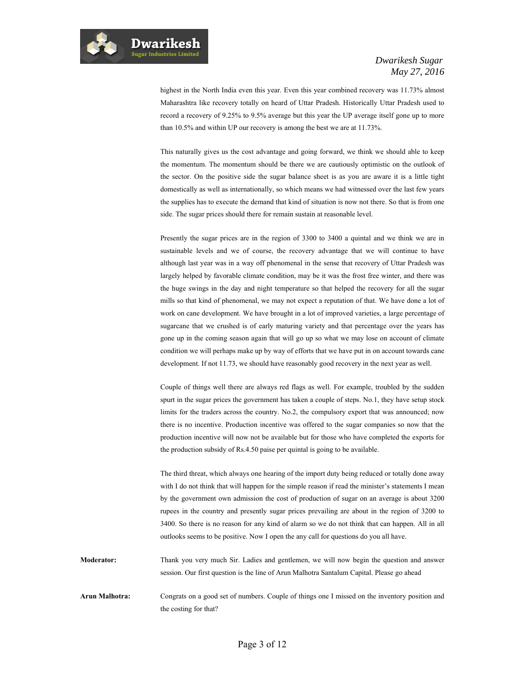

highest in the North India even this year. Even this year combined recovery was 11.73% almost Maharashtra like recovery totally on heard of Uttar Pradesh. Historically Uttar Pradesh used to record a recovery of 9.25% to 9.5% average but this year the UP average itself gone up to more than 10.5% and within UP our recovery is among the best we are at 11.73%.

This naturally gives us the cost advantage and going forward, we think we should able to keep the momentum. The momentum should be there we are cautiously optimistic on the outlook of the sector. On the positive side the sugar balance sheet is as you are aware it is a little tight domestically as well as internationally, so which means we had witnessed over the last few years the supplies has to execute the demand that kind of situation is now not there. So that is from one side. The sugar prices should there for remain sustain at reasonable level.

Presently the sugar prices are in the region of 3300 to 3400 a quintal and we think we are in sustainable levels and we of course, the recovery advantage that we will continue to have although last year was in a way off phenomenal in the sense that recovery of Uttar Pradesh was largely helped by favorable climate condition, may be it was the frost free winter, and there was the huge swings in the day and night temperature so that helped the recovery for all the sugar mills so that kind of phenomenal, we may not expect a reputation of that. We have done a lot of work on cane development. We have brought in a lot of improved varieties, a large percentage of sugarcane that we crushed is of early maturing variety and that percentage over the years has gone up in the coming season again that will go up so what we may lose on account of climate condition we will perhaps make up by way of efforts that we have put in on account towards cane development. If not 11.73, we should have reasonably good recovery in the next year as well.

Couple of things well there are always red flags as well. For example, troubled by the sudden spurt in the sugar prices the government has taken a couple of steps. No.1, they have setup stock limits for the traders across the country. No.2, the compulsory export that was announced; now there is no incentive. Production incentive was offered to the sugar companies so now that the production incentive will now not be available but for those who have completed the exports for the production subsidy of Rs.4.50 paise per quintal is going to be available.

The third threat, which always one hearing of the import duty being reduced or totally done away with I do not think that will happen for the simple reason if read the minister's statements I mean by the government own admission the cost of production of sugar on an average is about 3200 rupees in the country and presently sugar prices prevailing are about in the region of 3200 to 3400. So there is no reason for any kind of alarm so we do not think that can happen. All in all outlooks seems to be positive. Now I open the any call for questions do you all have.

**Moderator:** Thank you very much Sir. Ladies and gentlemen, we will now begin the question and answer session. Our first question is the line of Arun Malhotra Santalum Capital. Please go ahead

**Arun Malhotra:** Congrats on a good set of numbers. Couple of things one I missed on the inventory position and the costing for that?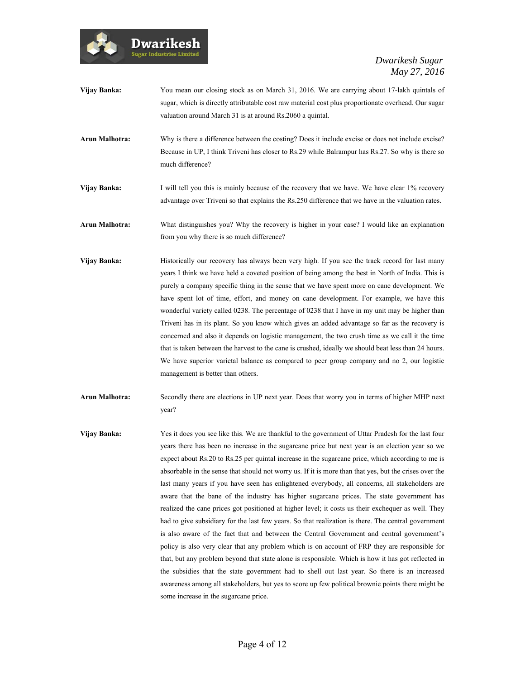

- **Vijay Banka:** You mean our closing stock as on March 31, 2016. We are carrying about 17-lakh quintals of sugar, which is directly attributable cost raw material cost plus proportionate overhead. Our sugar valuation around March 31 is at around Rs.2060 a quintal.
- Arun Malhotra: Why is there a difference between the costing? Does it include excise or does not include excise? Because in UP, I think Triveni has closer to Rs.29 while Balrampur has Rs.27. So why is there so much difference?
- **Vijay Banka:** I will tell you this is mainly because of the recovery that we have. We have clear 1% recovery advantage over Triveni so that explains the Rs.250 difference that we have in the valuation rates.
- **Arun Malhotra:** What distinguishes you? Why the recovery is higher in your case? I would like an explanation from you why there is so much difference?
- Vijay Banka: **Historically our recovery has always been very high**. If you see the track record for last many years I think we have held a coveted position of being among the best in North of India. This is purely a company specific thing in the sense that we have spent more on cane development. We have spent lot of time, effort, and money on cane development. For example, we have this wonderful variety called 0238. The percentage of 0238 that I have in my unit may be higher than Triveni has in its plant. So you know which gives an added advantage so far as the recovery is concerned and also it depends on logistic management, the two crush time as we call it the time that is taken between the harvest to the cane is crushed, ideally we should beat less than 24 hours. We have superior varietal balance as compared to peer group company and no 2, our logistic management is better than others.
- **Arun Malhotra:** Secondly there are elections in UP next year. Does that worry you in terms of higher MHP next year?
- **Vijay Banka:** Yes it does you see like this. We are thankful to the government of Uttar Pradesh for the last four years there has been no increase in the sugarcane price but next year is an election year so we expect about Rs.20 to Rs.25 per quintal increase in the sugarcane price, which according to me is absorbable in the sense that should not worry us. If it is more than that yes, but the crises over the last many years if you have seen has enlightened everybody, all concerns, all stakeholders are aware that the bane of the industry has higher sugarcane prices. The state government has realized the cane prices got positioned at higher level; it costs us their exchequer as well. They had to give subsidiary for the last few years. So that realization is there. The central government is also aware of the fact that and between the Central Government and central government's policy is also very clear that any problem which is on account of FRP they are responsible for that, but any problem beyond that state alone is responsible. Which is how it has got reflected in the subsidies that the state government had to shell out last year. So there is an increased awareness among all stakeholders, but yes to score up few political brownie points there might be some increase in the sugarcane price.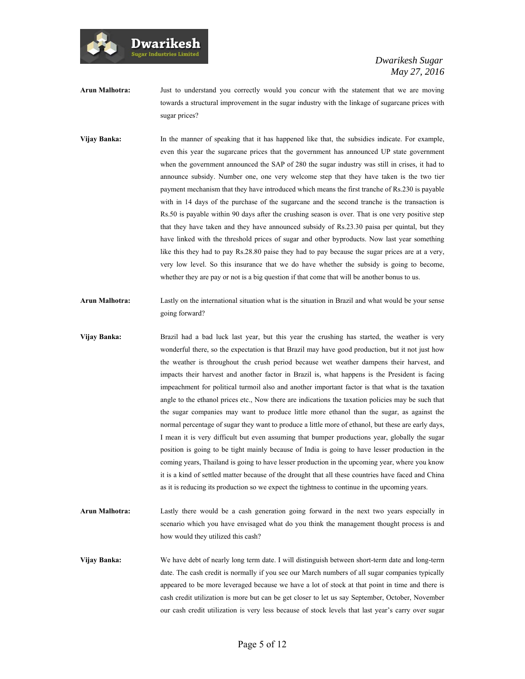

- **Arun Malhotra:** Just to understand you correctly would you concur with the statement that we are moving towards a structural improvement in the sugar industry with the linkage of sugarcane prices with sugar prices?
- **Vijay Banka:** In the manner of speaking that it has happened like that, the subsidies indicate. For example, even this year the sugarcane prices that the government has announced UP state government when the government announced the SAP of 280 the sugar industry was still in crises, it had to announce subsidy. Number one, one very welcome step that they have taken is the two tier payment mechanism that they have introduced which means the first tranche of Rs.230 is payable with in 14 days of the purchase of the sugarcane and the second tranche is the transaction is Rs.50 is payable within 90 days after the crushing season is over. That is one very positive step that they have taken and they have announced subsidy of Rs.23.30 paisa per quintal, but they have linked with the threshold prices of sugar and other byproducts. Now last year something like this they had to pay Rs.28.80 paise they had to pay because the sugar prices are at a very, very low level. So this insurance that we do have whether the subsidy is going to become, whether they are pay or not is a big question if that come that will be another bonus to us.
- **Arun Malhotra:** Lastly on the international situation what is the situation in Brazil and what would be your sense going forward?
- **Vijay Banka:** Brazil had a bad luck last year, but this year the crushing has started, the weather is very wonderful there, so the expectation is that Brazil may have good production, but it not just how the weather is throughout the crush period because wet weather dampens their harvest, and impacts their harvest and another factor in Brazil is, what happens is the President is facing impeachment for political turmoil also and another important factor is that what is the taxation angle to the ethanol prices etc., Now there are indications the taxation policies may be such that the sugar companies may want to produce little more ethanol than the sugar, as against the normal percentage of sugar they want to produce a little more of ethanol, but these are early days, I mean it is very difficult but even assuming that bumper productions year, globally the sugar position is going to be tight mainly because of India is going to have lesser production in the coming years, Thailand is going to have lesser production in the upcoming year, where you know it is a kind of settled matter because of the drought that all these countries have faced and China as it is reducing its production so we expect the tightness to continue in the upcoming years.
- **Arun Malhotra:** Lastly there would be a cash generation going forward in the next two years especially in scenario which you have envisaged what do you think the management thought process is and how would they utilized this cash?
- **Vijay Banka:** We have debt of nearly long term date. I will distinguish between short-term date and long-term date. The cash credit is normally if you see our March numbers of all sugar companies typically appeared to be more leveraged because we have a lot of stock at that point in time and there is cash credit utilization is more but can be get closer to let us say September, October, November our cash credit utilization is very less because of stock levels that last year's carry over sugar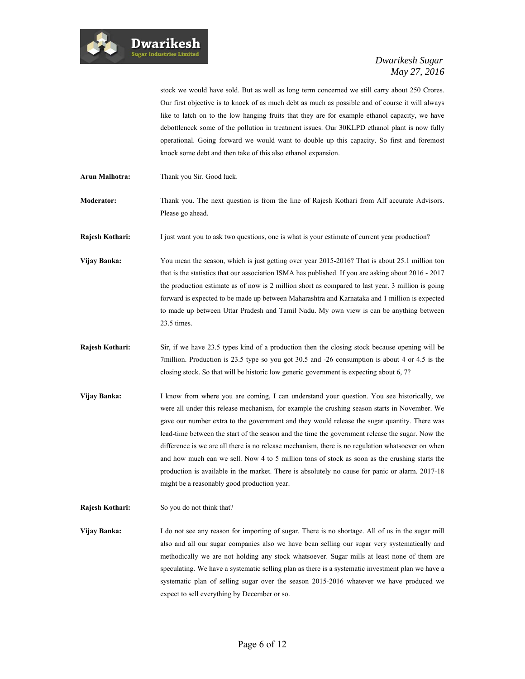

stock we would have sold. But as well as long term concerned we still carry about 250 Crores. Our first objective is to knock of as much debt as much as possible and of course it will always like to latch on to the low hanging fruits that they are for example ethanol capacity, we have debottleneck some of the pollution in treatment issues. Our 30KLPD ethanol plant is now fully operational. Going forward we would want to double up this capacity. So first and foremost knock some debt and then take of this also ethanol expansion.

- **Arun Malhotra:** Thank you Sir. Good luck.
- **Moderator:** Thank you. The next question is from the line of Rajesh Kothari from Alf accurate Advisors. Please go ahead.

**Rajesh Kothari:** I just want you to ask two questions, one is what is your estimate of current year production?

**Vijay Banka:** You mean the season, which is just getting over year 2015-2016? That is about 25.1 million ton that is the statistics that our association ISMA has published. If you are asking about 2016 - 2017 the production estimate as of now is 2 million short as compared to last year. 3 million is going forward is expected to be made up between Maharashtra and Karnataka and 1 million is expected to made up between Uttar Pradesh and Tamil Nadu. My own view is can be anything between 23.5 times.

- **Rajesh Kothari:** Sir, if we have 23.5 types kind of a production then the closing stock because opening will be 7million. Production is 23.5 type so you got 30.5 and -26 consumption is about 4 or 4.5 is the closing stock. So that will be historic low generic government is expecting about 6, 7?
- **Vijay Banka:** I know from where you are coming, I can understand your question. You see historically, we were all under this release mechanism, for example the crushing season starts in November. We gave our number extra to the government and they would release the sugar quantity. There was lead-time between the start of the season and the time the government release the sugar. Now the difference is we are all there is no release mechanism, there is no regulation whatsoever on when and how much can we sell. Now 4 to 5 million tons of stock as soon as the crushing starts the production is available in the market. There is absolutely no cause for panic or alarm. 2017-18 might be a reasonably good production year.
- **Rajesh Kothari:** So you do not think that?

**Vijay Banka:** I do not see any reason for importing of sugar. There is no shortage. All of us in the sugar mill also and all our sugar companies also we have bean selling our sugar very systematically and methodically we are not holding any stock whatsoever. Sugar mills at least none of them are speculating. We have a systematic selling plan as there is a systematic investment plan we have a systematic plan of selling sugar over the season 2015-2016 whatever we have produced we expect to sell everything by December or so.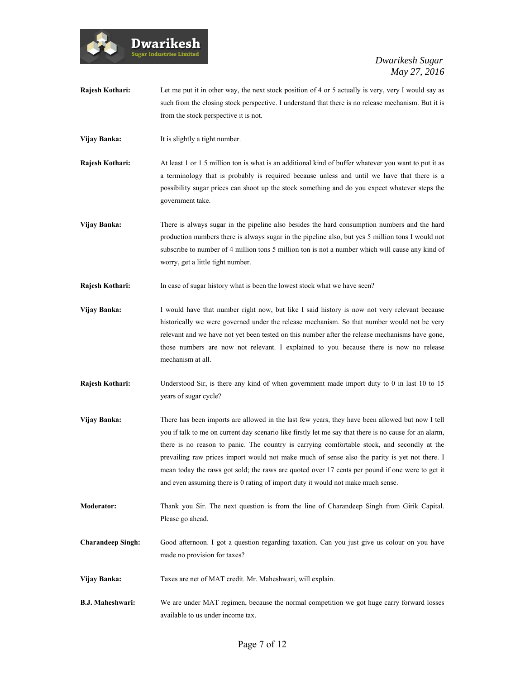

- **Rajesh Kothari:** Let me put it in other way, the next stock position of 4 or 5 actually is very, very I would say as such from the closing stock perspective. I understand that there is no release mechanism. But it is from the stock perspective it is not.
- **Vijay Banka:** It is slightly a tight number.
- **Rajesh Kothari:** At least 1 or 1.5 million ton is what is an additional kind of buffer whatever you want to put it as a terminology that is probably is required because unless and until we have that there is a possibility sugar prices can shoot up the stock something and do you expect whatever steps the government take.
- **Vijay Banka:** There is always sugar in the pipeline also besides the hard consumption numbers and the hard production numbers there is always sugar in the pipeline also, but yes 5 million tons I would not subscribe to number of 4 million tons 5 million ton is not a number which will cause any kind of worry, get a little tight number.
- **Rajesh Kothari:** In case of sugar history what is been the lowest stock what we have seen?
- **Vijay Banka:** I would have that number right now, but like I said history is now not very relevant because historically we were governed under the release mechanism. So that number would not be very relevant and we have not yet been tested on this number after the release mechanisms have gone, those numbers are now not relevant. I explained to you because there is now no release mechanism at all.
- **Rajesh Kothari:** Understood Sir, is there any kind of when government made import duty to 0 in last 10 to 15 years of sugar cycle?
- **Vijay Banka:** There has been imports are allowed in the last few years, they have been allowed but now I tell you if talk to me on current day scenario like firstly let me say that there is no cause for an alarm, there is no reason to panic. The country is carrying comfortable stock, and secondly at the prevailing raw prices import would not make much of sense also the parity is yet not there. I mean today the raws got sold; the raws are quoted over 17 cents per pound if one were to get it and even assuming there is 0 rating of import duty it would not make much sense.
- **Moderator:** Thank you Sir. The next question is from the line of Charandeep Singh from Girik Capital. Please go ahead.
- **Charandeep Singh:** Good afternoon. I got a question regarding taxation. Can you just give us colour on you have made no provision for taxes?
- **Vijay Banka:** Taxes are net of MAT credit. Mr. Maheshwari, will explain.
- **B.J. Maheshwari:** We are under MAT regimen, because the normal competition we got huge carry forward losses available to us under income tax.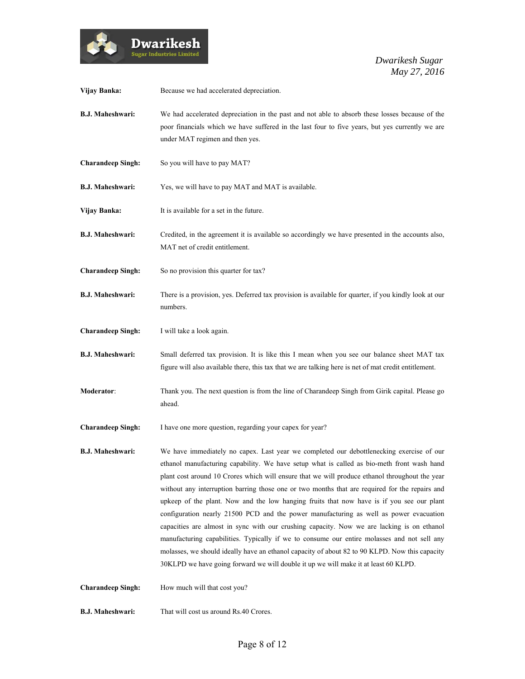

| Vijay Banka:             | Because we had accelerated depreciation.                                                                                                                                                                                                                                                                                                                                                                                                                                                                                                                                                                                                                                                                                                                                                                                                                                                                                                                                |
|--------------------------|-------------------------------------------------------------------------------------------------------------------------------------------------------------------------------------------------------------------------------------------------------------------------------------------------------------------------------------------------------------------------------------------------------------------------------------------------------------------------------------------------------------------------------------------------------------------------------------------------------------------------------------------------------------------------------------------------------------------------------------------------------------------------------------------------------------------------------------------------------------------------------------------------------------------------------------------------------------------------|
| <b>B.J. Maheshwari:</b>  | We had accelerated depreciation in the past and not able to absorb these losses because of the<br>poor financials which we have suffered in the last four to five years, but yes currently we are<br>under MAT regimen and then yes.                                                                                                                                                                                                                                                                                                                                                                                                                                                                                                                                                                                                                                                                                                                                    |
| <b>Charandeep Singh:</b> | So you will have to pay MAT?                                                                                                                                                                                                                                                                                                                                                                                                                                                                                                                                                                                                                                                                                                                                                                                                                                                                                                                                            |
| <b>B.J. Maheshwari:</b>  | Yes, we will have to pay MAT and MAT is available.                                                                                                                                                                                                                                                                                                                                                                                                                                                                                                                                                                                                                                                                                                                                                                                                                                                                                                                      |
| Vijay Banka:             | It is available for a set in the future.                                                                                                                                                                                                                                                                                                                                                                                                                                                                                                                                                                                                                                                                                                                                                                                                                                                                                                                                |
| <b>B.J. Maheshwari:</b>  | Credited, in the agreement it is available so accordingly we have presented in the accounts also,<br>MAT net of credit entitlement.                                                                                                                                                                                                                                                                                                                                                                                                                                                                                                                                                                                                                                                                                                                                                                                                                                     |
| <b>Charandeep Singh:</b> | So no provision this quarter for tax?                                                                                                                                                                                                                                                                                                                                                                                                                                                                                                                                                                                                                                                                                                                                                                                                                                                                                                                                   |
| <b>B.J. Maheshwari:</b>  | There is a provision, yes. Deferred tax provision is available for quarter, if you kindly look at our<br>numbers.                                                                                                                                                                                                                                                                                                                                                                                                                                                                                                                                                                                                                                                                                                                                                                                                                                                       |
| <b>Charandeep Singh:</b> | I will take a look again.                                                                                                                                                                                                                                                                                                                                                                                                                                                                                                                                                                                                                                                                                                                                                                                                                                                                                                                                               |
| <b>B.J. Maheshwari:</b>  | Small deferred tax provision. It is like this I mean when you see our balance sheet MAT tax<br>figure will also available there, this tax that we are talking here is net of mat credit entitlement.                                                                                                                                                                                                                                                                                                                                                                                                                                                                                                                                                                                                                                                                                                                                                                    |
| Moderator:               | Thank you. The next question is from the line of Charandeep Singh from Girik capital. Please go<br>ahead.                                                                                                                                                                                                                                                                                                                                                                                                                                                                                                                                                                                                                                                                                                                                                                                                                                                               |
| <b>Charandeep Singh:</b> | I have one more question, regarding your capex for year?                                                                                                                                                                                                                                                                                                                                                                                                                                                                                                                                                                                                                                                                                                                                                                                                                                                                                                                |
| <b>B.J. Maheshwari:</b>  | We have immediately no capex. Last year we completed our debottlenecking exercise of our<br>ethanol manufacturing capability. We have setup what is called as bio-meth front wash hand<br>plant cost around 10 Crores which will ensure that we will produce ethanol throughout the year<br>without any interruption barring those one or two months that are required for the repairs and<br>upkeep of the plant. Now and the low hanging fruits that now have is if you see our plant<br>configuration nearly 21500 PCD and the power manufacturing as well as power evacuation<br>capacities are almost in sync with our crushing capacity. Now we are lacking is on ethanol<br>manufacturing capabilities. Typically if we to consume our entire molasses and not sell any<br>molasses, we should ideally have an ethanol capacity of about 82 to 90 KLPD. Now this capacity<br>30KLPD we have going forward we will double it up we will make it at least 60 KLPD. |
| <b>Charandeep Singh:</b> | How much will that cost you?                                                                                                                                                                                                                                                                                                                                                                                                                                                                                                                                                                                                                                                                                                                                                                                                                                                                                                                                            |
| <b>B.J. Maheshwari:</b>  | That will cost us around Rs.40 Crores.                                                                                                                                                                                                                                                                                                                                                                                                                                                                                                                                                                                                                                                                                                                                                                                                                                                                                                                                  |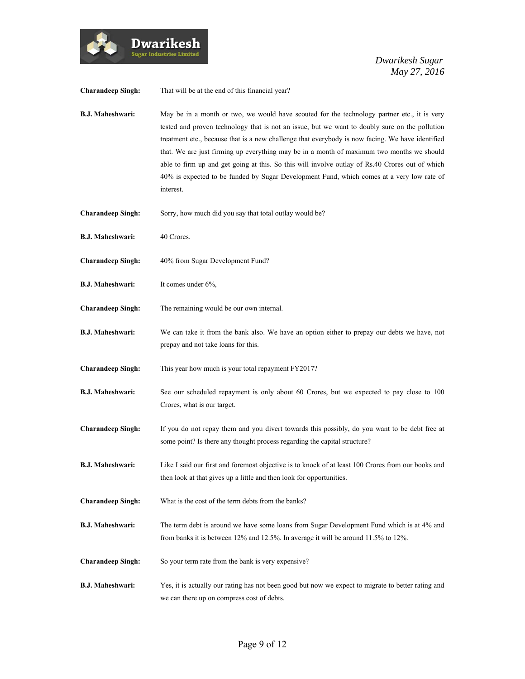

| <b>Charandeep Singh:</b> | That will be at the end of this financial year?                                                                                                                                                                                                                                                                                                                                                                                                                                                                                                                                                             |
|--------------------------|-------------------------------------------------------------------------------------------------------------------------------------------------------------------------------------------------------------------------------------------------------------------------------------------------------------------------------------------------------------------------------------------------------------------------------------------------------------------------------------------------------------------------------------------------------------------------------------------------------------|
| <b>B.J. Maheshwari:</b>  | May be in a month or two, we would have scouted for the technology partner etc., it is very<br>tested and proven technology that is not an issue, but we want to doubly sure on the pollution<br>treatment etc., because that is a new challenge that everybody is now facing. We have identified<br>that. We are just firming up everything may be in a month of maximum two months we should<br>able to firm up and get going at this. So this will involve outlay of Rs.40 Crores out of which<br>40% is expected to be funded by Sugar Development Fund, which comes at a very low rate of<br>interest. |
| <b>Charandeep Singh:</b> | Sorry, how much did you say that total outlay would be?                                                                                                                                                                                                                                                                                                                                                                                                                                                                                                                                                     |
| <b>B.J. Maheshwari:</b>  | 40 Crores.                                                                                                                                                                                                                                                                                                                                                                                                                                                                                                                                                                                                  |
| <b>Charandeep Singh:</b> | 40% from Sugar Development Fund?                                                                                                                                                                                                                                                                                                                                                                                                                                                                                                                                                                            |
| <b>B.J. Maheshwari:</b>  | It comes under 6%,                                                                                                                                                                                                                                                                                                                                                                                                                                                                                                                                                                                          |
| <b>Charandeep Singh:</b> | The remaining would be our own internal.                                                                                                                                                                                                                                                                                                                                                                                                                                                                                                                                                                    |
| <b>B.J. Maheshwari:</b>  | We can take it from the bank also. We have an option either to prepay our debts we have, not<br>prepay and not take loans for this.                                                                                                                                                                                                                                                                                                                                                                                                                                                                         |
| <b>Charandeep Singh:</b> | This year how much is your total repayment FY2017?                                                                                                                                                                                                                                                                                                                                                                                                                                                                                                                                                          |
| <b>B.J. Maheshwari:</b>  | See our scheduled repayment is only about 60 Crores, but we expected to pay close to 100<br>Crores, what is our target.                                                                                                                                                                                                                                                                                                                                                                                                                                                                                     |
| <b>Charandeep Singh:</b> | If you do not repay them and you divert towards this possibly, do you want to be debt free at<br>some point? Is there any thought process regarding the capital structure?                                                                                                                                                                                                                                                                                                                                                                                                                                  |
| <b>B.J. Maheshwari:</b>  | Like I said our first and foremost objective is to knock of at least 100 Crores from our books and<br>then look at that gives up a little and then look for opportunities.                                                                                                                                                                                                                                                                                                                                                                                                                                  |
| <b>Charandeep Singh:</b> | What is the cost of the term debts from the banks?                                                                                                                                                                                                                                                                                                                                                                                                                                                                                                                                                          |
| <b>B.J. Maheshwari:</b>  | The term debt is around we have some loans from Sugar Development Fund which is at 4% and<br>from banks it is between 12% and 12.5%. In average it will be around 11.5% to 12%.                                                                                                                                                                                                                                                                                                                                                                                                                             |
| <b>Charandeep Singh:</b> | So your term rate from the bank is very expensive?                                                                                                                                                                                                                                                                                                                                                                                                                                                                                                                                                          |
| <b>B.J. Maheshwari:</b>  | Yes, it is actually our rating has not been good but now we expect to migrate to better rating and<br>we can there up on compress cost of debts.                                                                                                                                                                                                                                                                                                                                                                                                                                                            |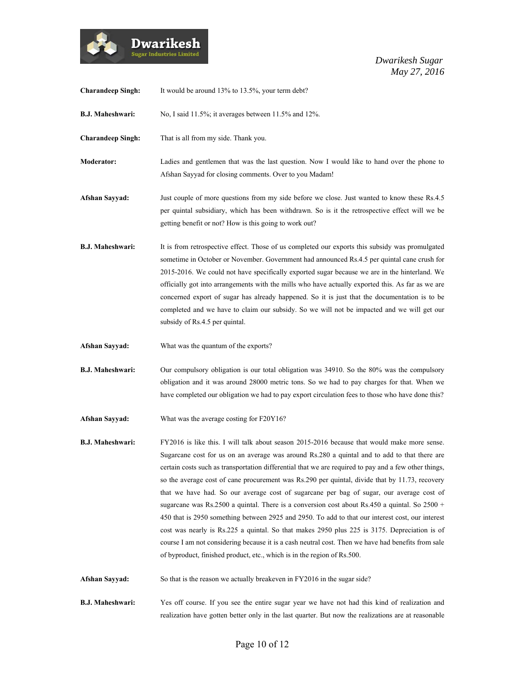

| <b>Charandeep Singh:</b> | It would be around 13% to 13.5%, your term debt?                                                                                                                                                                                                                                                                                                                                                                                                                                                                                                                                                                                                                                                                                                                                                                                                                                                                                                                                           |
|--------------------------|--------------------------------------------------------------------------------------------------------------------------------------------------------------------------------------------------------------------------------------------------------------------------------------------------------------------------------------------------------------------------------------------------------------------------------------------------------------------------------------------------------------------------------------------------------------------------------------------------------------------------------------------------------------------------------------------------------------------------------------------------------------------------------------------------------------------------------------------------------------------------------------------------------------------------------------------------------------------------------------------|
| <b>B.J. Maheshwari:</b>  | No, I said 11.5%; it averages between 11.5% and 12%.                                                                                                                                                                                                                                                                                                                                                                                                                                                                                                                                                                                                                                                                                                                                                                                                                                                                                                                                       |
| <b>Charandeep Singh:</b> | That is all from my side. Thank you.                                                                                                                                                                                                                                                                                                                                                                                                                                                                                                                                                                                                                                                                                                                                                                                                                                                                                                                                                       |
| Moderator:               | Ladies and gentlemen that was the last question. Now I would like to hand over the phone to<br>Afshan Sayyad for closing comments. Over to you Madam!                                                                                                                                                                                                                                                                                                                                                                                                                                                                                                                                                                                                                                                                                                                                                                                                                                      |
| <b>Afshan Sayyad:</b>    | Just couple of more questions from my side before we close. Just wanted to know these Rs.4.5<br>per quintal subsidiary, which has been withdrawn. So is it the retrospective effect will we be<br>getting benefit or not? How is this going to work out?                                                                                                                                                                                                                                                                                                                                                                                                                                                                                                                                                                                                                                                                                                                                   |
| <b>B.J. Maheshwari:</b>  | It is from retrospective effect. Those of us completed our exports this subsidy was promulgated<br>sometime in October or November. Government had announced Rs.4.5 per quintal cane crush for<br>2015-2016. We could not have specifically exported sugar because we are in the hinterland. We<br>officially got into arrangements with the mills who have actually exported this. As far as we are<br>concerned export of sugar has already happened. So it is just that the documentation is to be<br>completed and we have to claim our subsidy. So we will not be impacted and we will get our<br>subsidy of Rs.4.5 per quintal.                                                                                                                                                                                                                                                                                                                                                      |
| Afshan Sayyad:           | What was the quantum of the exports?                                                                                                                                                                                                                                                                                                                                                                                                                                                                                                                                                                                                                                                                                                                                                                                                                                                                                                                                                       |
| <b>B.J. Maheshwari:</b>  | Our compulsory obligation is our total obligation was 34910. So the 80% was the compulsory<br>obligation and it was around 28000 metric tons. So we had to pay charges for that. When we<br>have completed our obligation we had to pay export circulation fees to those who have done this?                                                                                                                                                                                                                                                                                                                                                                                                                                                                                                                                                                                                                                                                                               |
| <b>Afshan Sayyad:</b>    | What was the average costing for F20Y16?                                                                                                                                                                                                                                                                                                                                                                                                                                                                                                                                                                                                                                                                                                                                                                                                                                                                                                                                                   |
| <b>B.J. Maheshwari:</b>  | FY2016 is like this. I will talk about season 2015-2016 because that would make more sense.<br>Sugarcane cost for us on an average was around Rs.280 a quintal and to add to that there are<br>certain costs such as transportation differential that we are required to pay and a few other things,<br>so the average cost of cane procurement was Rs.290 per quintal, divide that by 11.73, recovery<br>that we have had. So our average cost of sugarcane per bag of sugar, our average cost of<br>sugarcane was Rs.2500 a quintal. There is a conversion cost about Rs.450 a quintal. So $2500 +$<br>450 that is 2950 something between 2925 and 2950. To add to that our interest cost, our interest<br>cost was nearly is Rs.225 a quintal. So that makes 2950 plus 225 is 3175. Depreciation is of<br>course I am not considering because it is a cash neutral cost. Then we have had benefits from sale<br>of byproduct, finished product, etc., which is in the region of Rs.500. |
| <b>Afshan Sayyad:</b>    | So that is the reason we actually breakeven in FY2016 in the sugar side?                                                                                                                                                                                                                                                                                                                                                                                                                                                                                                                                                                                                                                                                                                                                                                                                                                                                                                                   |
| <b>B.J. Maheshwari:</b>  | Yes off course. If you see the entire sugar year we have not had this kind of realization and<br>realization have gotten better only in the last quarter. But now the realizations are at reasonable                                                                                                                                                                                                                                                                                                                                                                                                                                                                                                                                                                                                                                                                                                                                                                                       |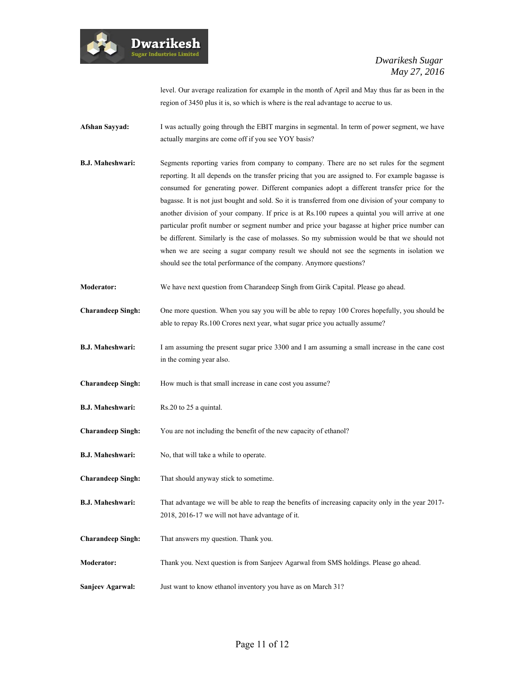

level. Our average realization for example in the month of April and May thus far as been in the region of 3450 plus it is, so which is where is the real advantage to accrue to us.

- **Afshan Sayyad:** I was actually going through the EBIT margins in segmental. In term of power segment, we have actually margins are come off if you see YOY basis?
- **B.J. Maheshwari:** Segments reporting varies from company to company. There are no set rules for the segment reporting. It all depends on the transfer pricing that you are assigned to. For example bagasse is consumed for generating power. Different companies adopt a different transfer price for the bagasse. It is not just bought and sold. So it is transferred from one division of your company to another division of your company. If price is at Rs.100 rupees a quintal you will arrive at one particular profit number or segment number and price your bagasse at higher price number can be different. Similarly is the case of molasses. So my submission would be that we should not when we are seeing a sugar company result we should not see the segments in isolation we should see the total performance of the company. Anymore questions?
- **Moderator:** We have next question from Charandeep Singh from Girik Capital. Please go ahead.
- **Charandeep Singh:** One more question. When you say you will be able to repay 100 Crores hopefully, you should be able to repay Rs.100 Crores next year, what sugar price you actually assume?
- **B.J. Maheshwari:** I am assuming the present sugar price 3300 and I am assuming a small increase in the cane cost in the coming year also.
- **Charandeep Singh:** How much is that small increase in cane cost you assume?
- **B.J. Maheshwari:** Rs.20 to 25 a quintal.
- **Charandeep Singh:** You are not including the benefit of the new capacity of ethanol?
- **B.J. Maheshwari:** No, that will take a while to operate.
- **Charandeep Singh:** That should anyway stick to sometime.
- **B.J. Maheshwari:** That advantage we will be able to reap the benefits of increasing capacity only in the year 2017-2018, 2016-17 we will not have advantage of it.
- **Charandeep Singh:** That answers my question. Thank you.
- **Moderator:** Thank you. Next question is from Sanjeev Agarwal from SMS holdings. Please go ahead.
- **Sanjeev Agarwal:** Just want to know ethanol inventory you have as on March 31?